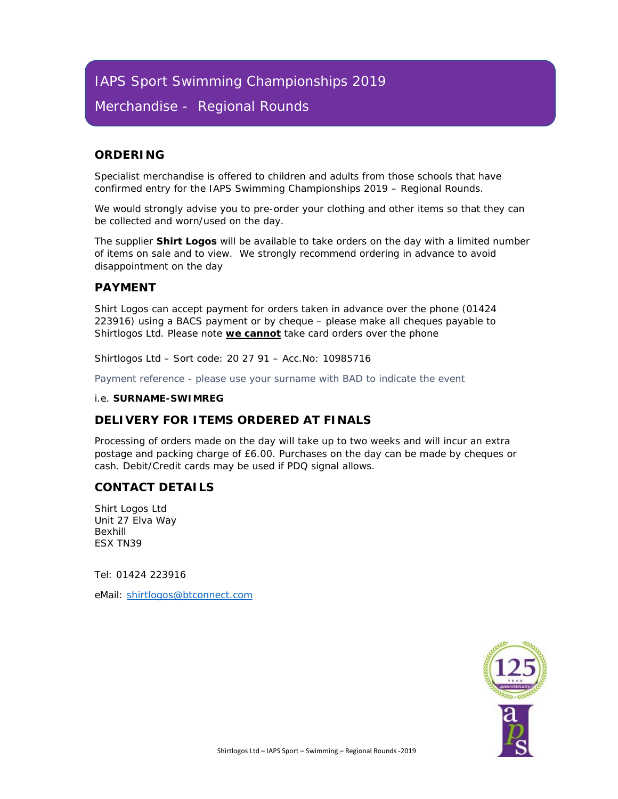# IAPS Sport Swimming Championships 2019

## Merchandise - Regional Rounds

## **ORDERING**

Specialist merchandise is offered to children and adults from those schools that have confirmed entry for the IAPS Swimming Championships 2019 – Regional Rounds.

*We would strongly advise you to pre-order your clothing and other items so that they can be collected and worn/used on the day.* 

The supplier **Shirt Logos** will be available to take orders on the day with a limited number of items on sale and to view. We strongly recommend ordering in advance to avoid disappointment on the day

## **PAYMENT**

Shirt Logos can accept payment for orders taken in advance over the phone (01424 223916) using a BACS payment or by cheque – please make all cheques payable to Shirtlogos Ltd. Please note **we cannot** take card orders over the phone

*Shirtlogos Ltd – Sort code: 20 27 91 – Acc.No: 10985716* 

Payment reference - please use your surname with BAD to indicate the event

#### *i.e. SURNAME-SWIMREG*

## **DELIVERY FOR ITEMS ORDERED AT FINALS**

Processing of orders made on the day will take up to two weeks and will incur an extra postage and packing charge of £6.00. Purchases on the day can be made by cheques or cash. Debit/Credit cards may be used if PDQ signal allows.

## **CONTACT DETAILS**

Shirt Logos Ltd Unit 27 Elva Way Bexhill ESX TN39

Tel: 01424 223916

eMail: shirtlogos@btconnect.com

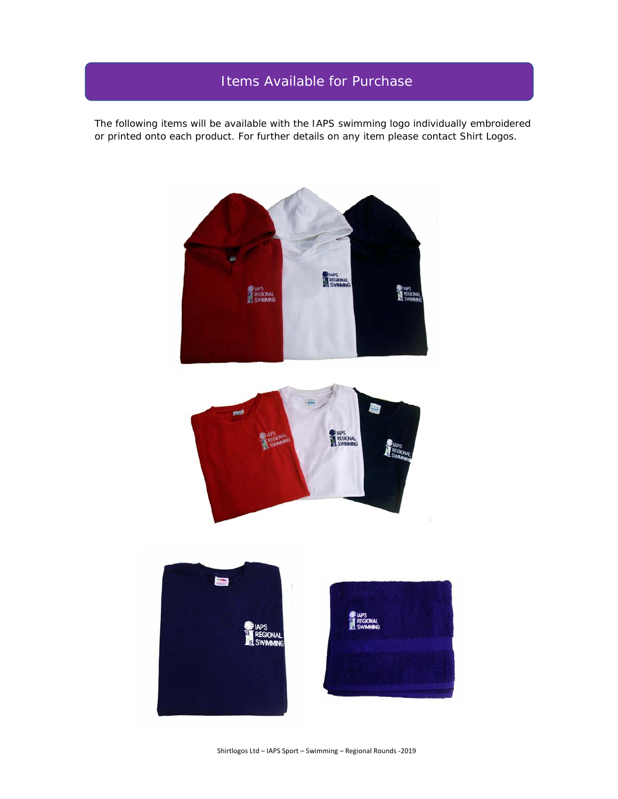# Items Available for Purchase

The following items will be available with the IAPS swimming logo individually embroidered or printed onto each product. For further details on any item please contact Shirt Logos.